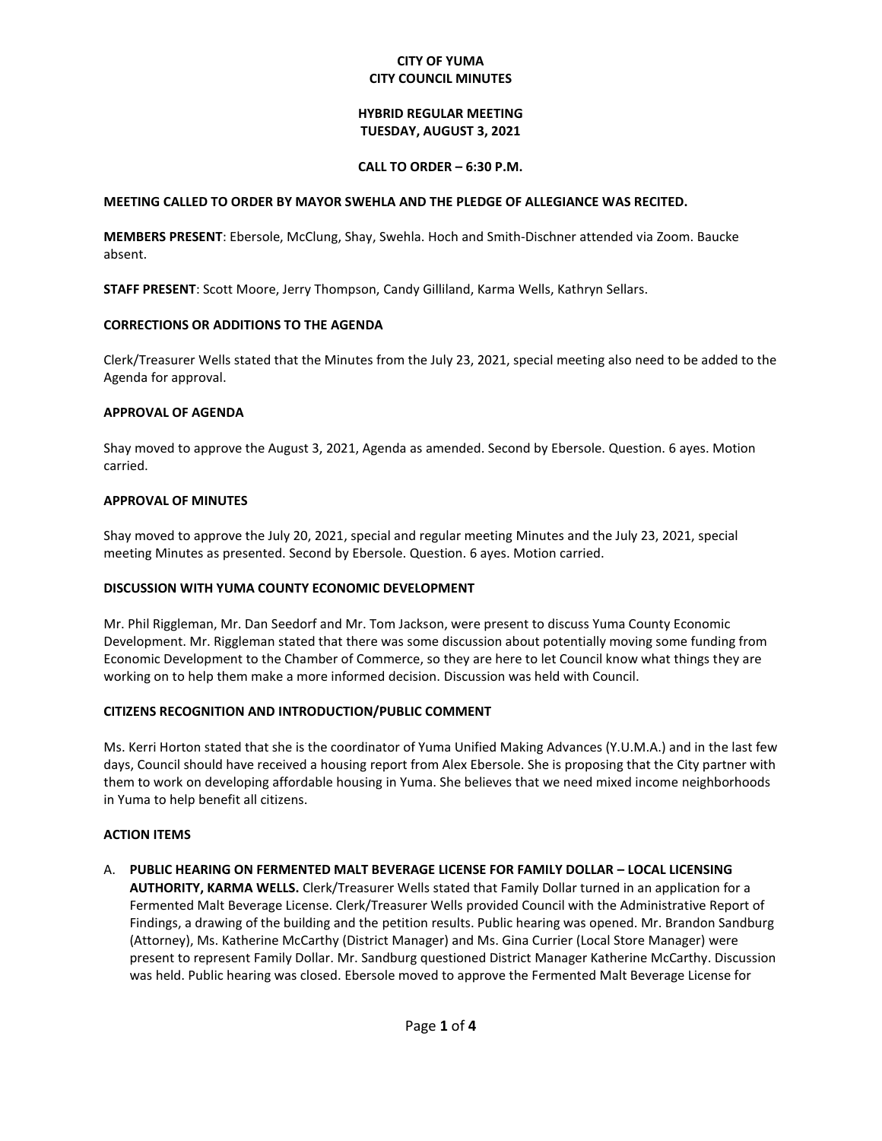# **CITY OF YUMA CITY COUNCIL MINUTES**

# **HYBRID REGULAR MEETING TUESDAY, AUGUST 3, 2021**

# **CALL TO ORDER – 6:30 P.M.**

# **MEETING CALLED TO ORDER BY MAYOR SWEHLA AND THE PLEDGE OF ALLEGIANCE WAS RECITED.**

**MEMBERS PRESENT**: Ebersole, McClung, Shay, Swehla. Hoch and Smith-Dischner attended via Zoom. Baucke absent.

**STAFF PRESENT**: Scott Moore, Jerry Thompson, Candy Gilliland, Karma Wells, Kathryn Sellars.

# **CORRECTIONS OR ADDITIONS TO THE AGENDA**

Clerk/Treasurer Wells stated that the Minutes from the July 23, 2021, special meeting also need to be added to the Agenda for approval.

# **APPROVAL OF AGENDA**

Shay moved to approve the August 3, 2021, Agenda as amended. Second by Ebersole. Question. 6 ayes. Motion carried.

# **APPROVAL OF MINUTES**

Shay moved to approve the July 20, 2021, special and regular meeting Minutes and the July 23, 2021, special meeting Minutes as presented. Second by Ebersole. Question. 6 ayes. Motion carried.

# **DISCUSSION WITH YUMA COUNTY ECONOMIC DEVELOPMENT**

Mr. Phil Riggleman, Mr. Dan Seedorf and Mr. Tom Jackson, were present to discuss Yuma County Economic Development. Mr. Riggleman stated that there was some discussion about potentially moving some funding from Economic Development to the Chamber of Commerce, so they are here to let Council know what things they are working on to help them make a more informed decision. Discussion was held with Council.

# **CITIZENS RECOGNITION AND INTRODUCTION/PUBLIC COMMENT**

Ms. Kerri Horton stated that she is the coordinator of Yuma Unified Making Advances (Y.U.M.A.) and in the last few days, Council should have received a housing report from Alex Ebersole. She is proposing that the City partner with them to work on developing affordable housing in Yuma. She believes that we need mixed income neighborhoods in Yuma to help benefit all citizens.

# **ACTION ITEMS**

# A. **PUBLIC HEARING ON FERMENTED MALT BEVERAGE LICENSE FOR FAMILY DOLLAR – LOCAL LICENSING**

**AUTHORITY, KARMA WELLS.** Clerk/Treasurer Wells stated that Family Dollar turned in an application for a Fermented Malt Beverage License. Clerk/Treasurer Wells provided Council with the Administrative Report of Findings, a drawing of the building and the petition results. Public hearing was opened. Mr. Brandon Sandburg (Attorney), Ms. Katherine McCarthy (District Manager) and Ms. Gina Currier (Local Store Manager) were present to represent Family Dollar. Mr. Sandburg questioned District Manager Katherine McCarthy. Discussion was held. Public hearing was closed. Ebersole moved to approve the Fermented Malt Beverage License for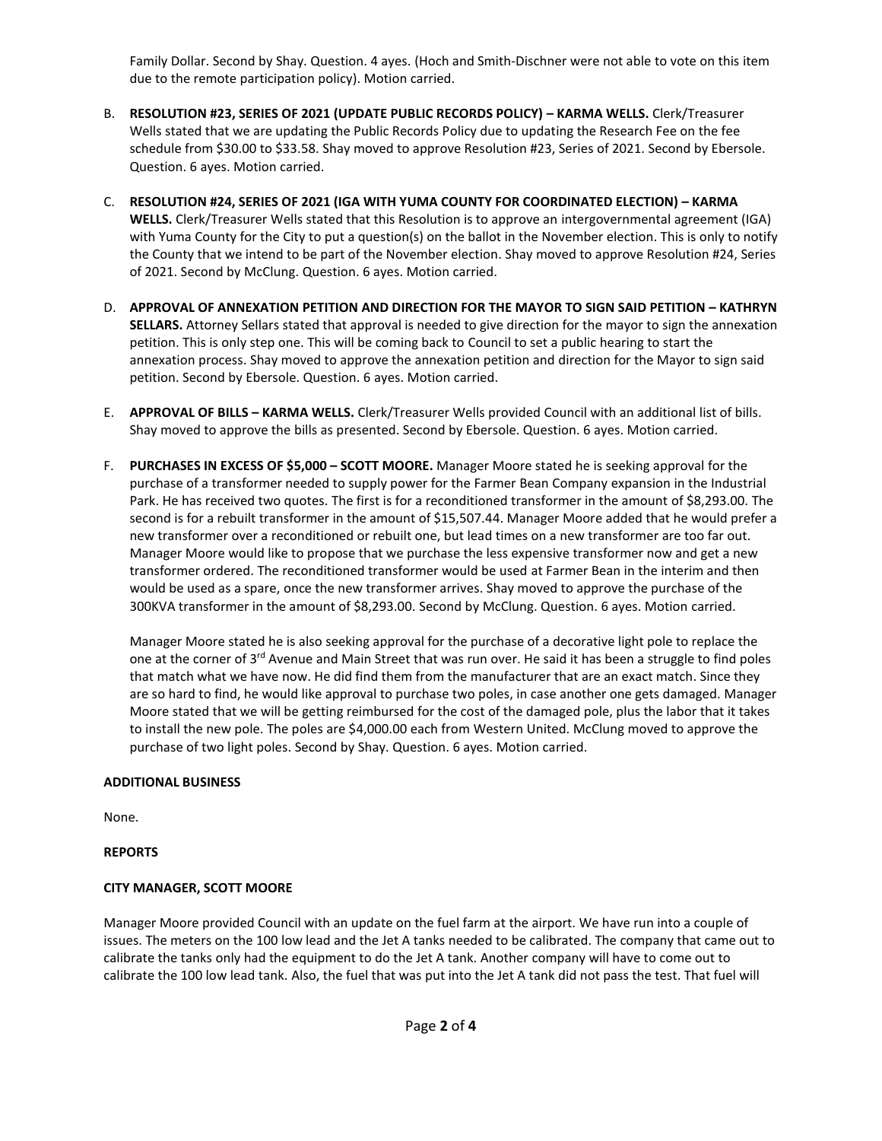Family Dollar. Second by Shay. Question. 4 ayes. (Hoch and Smith-Dischner were not able to vote on this item due to the remote participation policy). Motion carried.

- B. **RESOLUTION #23, SERIES OF 2021 (UPDATE PUBLIC RECORDS POLICY) – KARMA WELLS.** Clerk/Treasurer Wells stated that we are updating the Public Records Policy due to updating the Research Fee on the fee schedule from \$30.00 to \$33.58. Shay moved to approve Resolution #23, Series of 2021. Second by Ebersole. Question. 6 ayes. Motion carried.
- C. **RESOLUTION #24, SERIES OF 2021 (IGA WITH YUMA COUNTY FOR COORDINATED ELECTION) – KARMA WELLS.** Clerk/Treasurer Wells stated that this Resolution is to approve an intergovernmental agreement (IGA) with Yuma County for the City to put a question(s) on the ballot in the November election. This is only to notify the County that we intend to be part of the November election. Shay moved to approve Resolution #24, Series of 2021. Second by McClung. Question. 6 ayes. Motion carried.
- D. **APPROVAL OF ANNEXATION PETITION AND DIRECTION FOR THE MAYOR TO SIGN SAID PETITION – KATHRYN SELLARS.** Attorney Sellars stated that approval is needed to give direction for the mayor to sign the annexation petition. This is only step one. This will be coming back to Council to set a public hearing to start the annexation process. Shay moved to approve the annexation petition and direction for the Mayor to sign said petition. Second by Ebersole. Question. 6 ayes. Motion carried.
- E. **APPROVAL OF BILLS – KARMA WELLS.** Clerk/Treasurer Wells provided Council with an additional list of bills. Shay moved to approve the bills as presented. Second by Ebersole. Question. 6 ayes. Motion carried.
- F. **PURCHASES IN EXCESS OF \$5,000 – SCOTT MOORE.** Manager Moore stated he is seeking approval for the purchase of a transformer needed to supply power for the Farmer Bean Company expansion in the Industrial Park. He has received two quotes. The first is for a reconditioned transformer in the amount of \$8,293.00. The second is for a rebuilt transformer in the amount of \$15,507.44. Manager Moore added that he would prefer a new transformer over a reconditioned or rebuilt one, but lead times on a new transformer are too far out. Manager Moore would like to propose that we purchase the less expensive transformer now and get a new transformer ordered. The reconditioned transformer would be used at Farmer Bean in the interim and then would be used as a spare, once the new transformer arrives. Shay moved to approve the purchase of the 300KVA transformer in the amount of \$8,293.00. Second by McClung. Question. 6 ayes. Motion carried.

Manager Moore stated he is also seeking approval for the purchase of a decorative light pole to replace the one at the corner of 3<sup>rd</sup> Avenue and Main Street that was run over. He said it has been a struggle to find poles that match what we have now. He did find them from the manufacturer that are an exact match. Since they are so hard to find, he would like approval to purchase two poles, in case another one gets damaged. Manager Moore stated that we will be getting reimbursed for the cost of the damaged pole, plus the labor that it takes to install the new pole. The poles are \$4,000.00 each from Western United. McClung moved to approve the purchase of two light poles. Second by Shay. Question. 6 ayes. Motion carried.

# **ADDITIONAL BUSINESS**

None.

# **REPORTS**

# **CITY MANAGER, SCOTT MOORE**

Manager Moore provided Council with an update on the fuel farm at the airport. We have run into a couple of issues. The meters on the 100 low lead and the Jet A tanks needed to be calibrated. The company that came out to calibrate the tanks only had the equipment to do the Jet A tank. Another company will have to come out to calibrate the 100 low lead tank. Also, the fuel that was put into the Jet A tank did not pass the test. That fuel will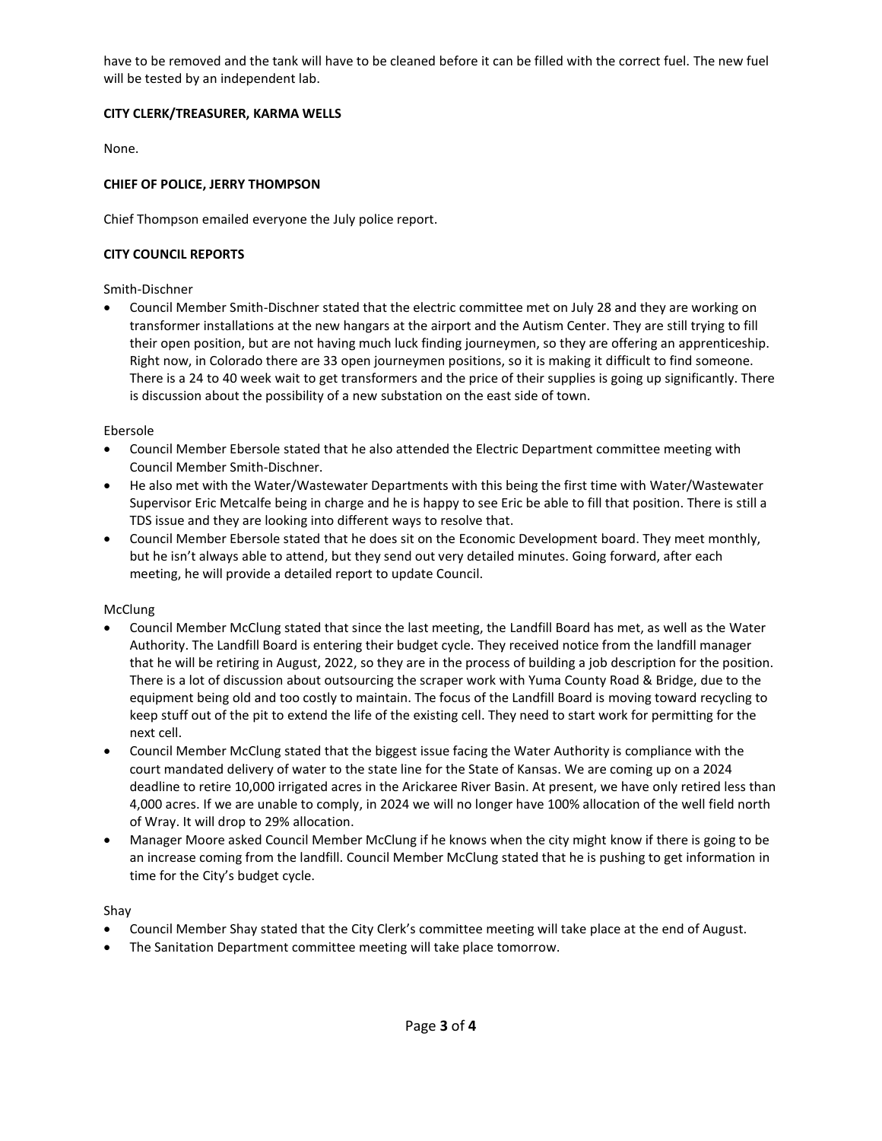have to be removed and the tank will have to be cleaned before it can be filled with the correct fuel. The new fuel will be tested by an independent lab.

# **CITY CLERK/TREASURER, KARMA WELLS**

None.

# **CHIEF OF POLICE, JERRY THOMPSON**

Chief Thompson emailed everyone the July police report.

# **CITY COUNCIL REPORTS**

# Smith-Dischner

• Council Member Smith-Dischner stated that the electric committee met on July 28 and they are working on transformer installations at the new hangars at the airport and the Autism Center. They are still trying to fill their open position, but are not having much luck finding journeymen, so they are offering an apprenticeship. Right now, in Colorado there are 33 open journeymen positions, so it is making it difficult to find someone. There is a 24 to 40 week wait to get transformers and the price of their supplies is going up significantly. There is discussion about the possibility of a new substation on the east side of town.

# Ebersole

- Council Member Ebersole stated that he also attended the Electric Department committee meeting with Council Member Smith-Dischner.
- He also met with the Water/Wastewater Departments with this being the first time with Water/Wastewater Supervisor Eric Metcalfe being in charge and he is happy to see Eric be able to fill that position. There is still a TDS issue and they are looking into different ways to resolve that.
- Council Member Ebersole stated that he does sit on the Economic Development board. They meet monthly, but he isn't always able to attend, but they send out very detailed minutes. Going forward, after each meeting, he will provide a detailed report to update Council.

# McClung

- Council Member McClung stated that since the last meeting, the Landfill Board has met, as well as the Water Authority. The Landfill Board is entering their budget cycle. They received notice from the landfill manager that he will be retiring in August, 2022, so they are in the process of building a job description for the position. There is a lot of discussion about outsourcing the scraper work with Yuma County Road & Bridge, due to the equipment being old and too costly to maintain. The focus of the Landfill Board is moving toward recycling to keep stuff out of the pit to extend the life of the existing cell. They need to start work for permitting for the next cell.
- Council Member McClung stated that the biggest issue facing the Water Authority is compliance with the court mandated delivery of water to the state line for the State of Kansas. We are coming up on a 2024 deadline to retire 10,000 irrigated acres in the Arickaree River Basin. At present, we have only retired less than 4,000 acres. If we are unable to comply, in 2024 we will no longer have 100% allocation of the well field north of Wray. It will drop to 29% allocation.
- Manager Moore asked Council Member McClung if he knows when the city might know if there is going to be an increase coming from the landfill. Council Member McClung stated that he is pushing to get information in time for the City's budget cycle.

# Shay

- Council Member Shay stated that the City Clerk's committee meeting will take place at the end of August.
- The Sanitation Department committee meeting will take place tomorrow.